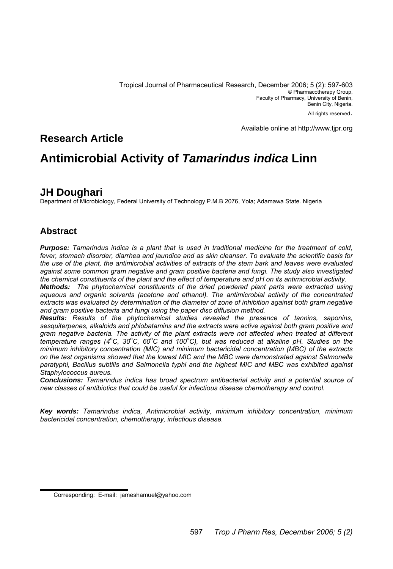Tropical Journal of Pharmaceutical Research, December 2006; 5 (2): 597-603 © Pharmacotherapy Group, Faculty of Pharmacy, University of Benin, Benin City, Nigeria. All rights reserved.

Available online at http://www.tjpr.org

# **Research Article**

# **Antimicrobial Activity of** *Tamarindus indica* **Linn**

# **JH Doughari**

Department of Microbiology, Federal University of Technology P.M.B 2076, Yola; Adamawa State. Nigeria

# **Abstract**

*Purpose: Tamarindus indica is a plant that is used in traditional medicine for the treatment of cold, fever, stomach disorder, diarrhea and jaundice and as skin cleanser. To evaluate the scientific basis for the use of the plant, the antimicrobial activities of extracts of the stem bark and leaves were evaluated against some common gram negative and gram positive bacteria and fungi. The study also investigated the chemical constituents of the plant and the effect of temperature and pH on its antimicrobial activity.* 

*Methods: The phytochemical constituents of the dried powdered plant parts were extracted using aqueous and organic solvents (acetone and ethanol). The antimicrobial activity of the concentrated extracts was evaluated by determination of the diameter of zone of inhibition against both gram negative and gram positive bacteria and fungi using the paper disc diffusion method.* 

*Results: Results of the phytochemical studies revealed the presence of tannins, saponins, sesquiterpenes, alkaloids and phlobatamins and the extracts were active against both gram positive and gram negative bacteria. The activity of the plant extracts were not affected when treated at different temperature ranges (4<sup>o</sup> C, 30<sup>o</sup> C, 60o C and 100o C), but was reduced at alkaline pH. Studies on the minimum inhibitory concentration (MIC) and minimum bactericidal concentration (MBC) of the extracts on the test organisms showed that the lowest MIC and the MBC were demonstrated against Salmonella paratyphi, Bacillus subtilis and Salmonella typhi and the highest MIC and MBC was exhibited against Staphylococcus aureus.* 

*Conclusions: Tamarindus indica has broad spectrum antibacterial activity and a potential source of new classes of antibiotics that could be useful for infectious disease chemotherapy and control.* 

*Key words: Tamarindus indica, Antimicrobial activity, minimum inhibitory concentration, minimum bactericidal concentration, chemotherapy, infectious disease.* 

Corresponding: E-mail: jameshamuel@yahoo.com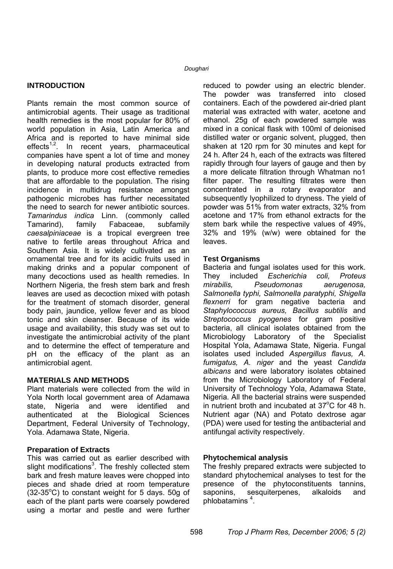# **INTRODUCTION**

Plants remain the most common source of antimicrobial agents. Their usage as traditional health remedies is the most popular for 80% of world population in Asia, Latin America and Africa and is reported to have minimal side effects<sup> $1,2$ </sup>. In recent years, pharmaceutical companies have spent a lot of time and money in developing natural products extracted from plants, to produce more cost effective remedies that are affordable to the population. The rising incidence in multidrug resistance amongst pathogenic microbes has further necessitated the need to search for newer antibiotic sources. *Tamarindus indica* Linn. (commonly called Tamarind), family Fabaceae, subfamily *caesalpiniaceae* is a tropical evergreen tree native to fertile areas throughout Africa and Southern Asia. It is widely cultivated as an ornamental tree and for its acidic fruits used in making drinks and a popular component of many decoctions used as health remedies. In Northern Nigeria, the fresh stem bark and fresh leaves are used as decoction mixed with potash for the treatment of stomach disorder, general body pain, jaundice, yellow fever and as blood tonic and skin cleanser. Because of its wide usage and availability, this study was set out to investigate the antimicrobial activity of the plant and to determine the effect of temperature and pH on the efficacy of the plant as an antimicrobial agent.

# **MATERIALS AND METHODS**

Plant materials were collected from the wild in Yola North local government area of Adamawa state, Nigeria and were identified and authenticated at the Biological Sciences Department, Federal University of Technology, Yola. Adamawa State, Nigeria.

# **Preparation of Extracts**

This was carried out as earlier described with slight modifications<sup>3</sup>. The freshly collected stem bark and fresh mature leaves were chopped into pieces and shade dried at room temperature  $(32-35^{\circ}C)$  to constant weight for 5 days. 50g of each of the plant parts were coarsely powdered using a mortar and pestle and were further

reduced to powder using an electric blender. The powder was transferred into closed containers. Each of the powdered air-dried plant material was extracted with water, acetone and ethanol. 25g of each powdered sample was mixed in a conical flask with 100ml of deionised distilled water or organic solvent, plugged, then shaken at 120 rpm for 30 minutes and kept for 24 h. After 24 h, each of the extracts was filtered rapidly through four layers of gauge and then by a more delicate filtration through Whatman no1 filter paper. The resulting filtrates were then concentrated in a rotary evaporator and subsequently lyophilized to dryness. The yield of powder was 51% from water extracts, 32% from acetone and 17% from ethanol extracts for the stem bark while the respective values of 49%, 32% and 19% (w/w) were obtained for the leaves.

# **Test Organisms**

Bacteria and fungal isolates used for this work. They included *Escherichia coli, Proteus mirabilis, Pseudomonas aerugenosa, Salmonella typhi, Salmonella paratyphi, Shigella flexnerri* for gram negative bacteria and *Staphylococcus aureus, Bacillus subtilis* and *Streptococcus pyogenes* for gram positive bacteria, all clinical isolates obtained from the Microbiology Laboratory of the Specialist Hospital Yola, Adamawa State, Nigeria. Fungal isolates used included *Aspergillus flavus, A. fumigatus, A. niger* and the yeast *Candida albicans* and were laboratory isolates obtained from the Microbiology Laboratory of Federal University of Technology Yola, Adamawa State, Nigeria*.* All the bacterial strains were suspended in nutrient broth and incubated at  $37^{\circ}$ C for 48 h. Nutrient agar (NA) and Potato dextrose agar (PDA) were used for testing the antibacterial and antifungal activity respectively.

# **Phytochemical analysis**

The freshly prepared extracts were subjected to standard phytochemical analyses to test for the presence of the phytoconstituents tannins, saponins, sesquiterpenes, alkaloids and phlobatamins<sup>4</sup>.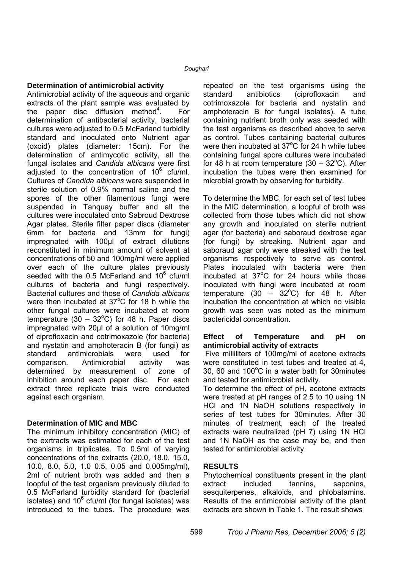# **Determination of antimicrobial activity**

Antimicrobial activity of the aqueous and organic extracts of the plant sample was evaluated by the paper disc diffusion method<sup>4</sup>. . For determination of antibacterial activity, bacterial cultures were adjusted to 0.5 McFarland turbidity standard and inoculated onto Nutrient agar (oxoid) plates (diameter: 15cm). For the determination of antimycotic activity, all the fungal isolates and *Candida albicans* were first adjusted to the concentration of  $10^6$  cfu/ml. Cultures of *Candida albicans* were suspended in sterile solution of 0.9% normal saline and the spores of the other filamentous fungi were suspended in Tanquay buffer and all the cultures were inoculated onto Sabroud Dextrose Agar plates. Sterile filter paper discs (diameter 6mm for bacteria and 13mm for fungi) impregnated with 100µl of extract dilutions reconstituted in minimum amount of solvent at concentrations of 50 and 100mg/ml were applied over each of the culture plates previously seeded with the 0.5 McFarland and  $10^6$  cfu/ml cultures of bacteria and fungi respectively. Bacterial cultures and those of *Candida albicans*  were then incubated at  $37^{\circ}$ C for 18 h while the other fungal cultures were incubated at room temperature  $(30 - 32^{\circ}C)$  for 48 h. Paper discs impregnated with 20µl of a solution of 10mg/ml of ciprofloxacin and cotrimoxazole (for bacteria) and nystatin and amphoteracin B (for fungi) as standard antimicrobials were used for comparison. Antimicrobial activity was determined by measurement of zone of inhibition around each paper disc. For each extract three replicate trials were conducted against each organism.

# **Determination of MIC and MBC**

The minimum inhibitory concentration (MIC) of the exrtracts was estimated for each of the test organisms in triplicates. To 0.5ml of varying concentrations of the extracts (20.0, 18.0, 15.0, 10.0, 8.0, 5.0, 1.0 0.5, 0.05 and 0.005mg/ml), 2ml of nutrient broth was added and then a loopful of the test organism previously diluted to 0.5 McFarland turbidity standard for (bacterial isolates) and 10 $^6$  cfu/ml (for fungal isolates) was introduced to the tubes. The procedure was

repeated on the test organisms using the standard antibiotics (ciprofloxacin and cotrimoxazole for bacteria and nystatin and amphoteracin B for fungal isolates). A tube containing nutrient broth only was seeded with the test organisms as described above to serve as control. Tubes containing bacterial cultures were then incubated at  $37^{\circ}$ C for 24 h while tubes containing fungal spore cultures were incubated for 48 h at room temperature  $(30 - 32^{\circ}C)$ . After incubation the tubes were then examined for microbial growth by observing for turbidity.

To determine the MBC, for each set of test tubes in the MIC determination, a loopful of broth was collected from those tubes which did not show any growth and inoculated on sterile nutrient agar (for bacteria) and saboraud dextrose agar (for fungi) by streaking. Nutrient agar and saboraud agar only were streaked with the test organisms respectively to serve as control. Plates inoculated with bacteria were then incubated at  $37^{\circ}$ C for 24 hours while those inoculated with fungi were incubated at room temperature (30  $-$  32 $^{\circ}$ C) for 48 h. After incubation the concentration at which no visible growth was seen was noted as the minimum bactericidal concentration.

# **Effect of Temperature and pH on antimicrobial activity of extracts**

 Five milliliters of 100mg/ml of acetone extracts were constituted in test tubes and treated at 4, 30, 60 and  $100^{\circ}$ C in a water bath for 30 minutes and tested for antimicrobial activity.

To determine the effect of pH, acetone extracts were treated at pH ranges of 2.5 to 10 using 1N HCl and 1N NaOH solutions respectively in series of test tubes for 30minutes. After 30 minutes of treatment, each of the treated extracts were neutralized (pH 7) using 1N HCl and 1N NaOH as the case may be, and then tested for antimicrobial activity.

# **RESULTS**

Phytochemical constituents present in the plant extract included tannins, saponins, sesquiterpenes, alkaloids, and phlobatamins. Results of the antimicrobial activity of the plant extracts are shown in Table 1. The result shows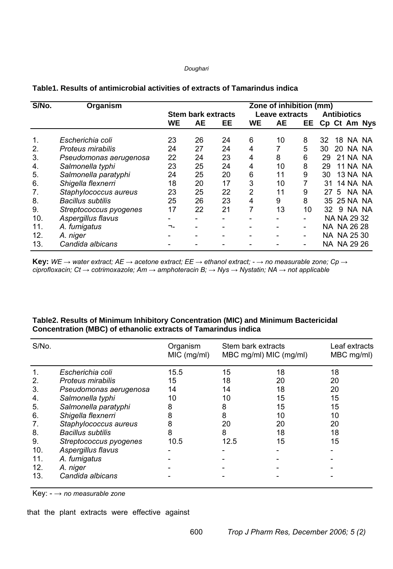#### *Doughari*

| S/No. | Organism                 | Zone of inhibition (mm)   |    |    |                |    |    |                    |    |                 |              |
|-------|--------------------------|---------------------------|----|----|----------------|----|----|--------------------|----|-----------------|--------------|
|       |                          | <b>Stem bark extracts</b> |    |    | Leave extracts |    |    | <b>Antibiotics</b> |    |                 |              |
|       |                          | WE                        | AE | EE | WE             | AE | EE |                    |    |                 | Cp Ct Am Nys |
| 1.    | Escherichia coli         | 23                        | 26 | 24 | 6              | 10 | 8  | 32                 |    | <b>18 NA NA</b> |              |
| 2.    | Proteus mirabilis        | 24                        | 27 | 24 | 4              |    | 5  | 30                 | 20 | NA NA           |              |
| 3.    | Pseudomonas aerugenosa   | 22                        | 24 | 23 | 4              | 8  | 6  | 29                 |    | 21 NA NA        |              |
| 4.    | Salmonella typhi         | 23                        | 25 | 24 | 4              | 10 | 8  | 29                 |    | <b>11 NA NA</b> |              |
| 5.    | Salmonella paratyphi     | 24                        | 25 | 20 | 6              | 11 | 9  | 30                 |    | 13 NA NA        |              |
| 6.    | Shigella flexnerri       | 18                        | 20 | 17 | 3              | 10 |    | 31                 |    | <b>14 NA NA</b> |              |
| 7.    | Staphylococcus aureus    | 23                        | 25 | 22 | 2              | 11 | 9  | 27                 |    | 5 NA NA         |              |
| 8.    | <b>Bacillus subtilis</b> | 25                        | 26 | 23 | 4              | 9  | 8  |                    |    | 35 25 NA NA     |              |
| 9.    | Streptococcus pyogenes   | 17                        | 22 | 21 | 7              | 13 | 10 | 32                 |    | 9 NA NA         |              |
| 10.   | Aspergillus flavus       |                           |    |    |                |    |    |                    |    | NA NA 29 32     |              |
| 11.   | A. fumigatus             | ¬-                        |    |    |                |    |    |                    |    | NA NA 26 28     |              |
| 12.   | A. niger                 |                           |    |    |                |    |    |                    |    | NA NA 25 30     |              |
| 13.   | Candida albicans         |                           |    |    |                |    |    |                    |    | NA NA 29 26     |              |

# **Table1. Results of antimicrobial activities of extracts of Tamarindus indica**

**Key:** *WE → water extract; AE → acetone extract; EE → ethanol extract; - → no measurable zone; Cp → ciprofloxacin; Ct → cotrimoxazole; Am → amphoteracin B; → Nys → Nystatin; NA → not applicable* 

# **Table2. Results of Minimum Inhibitory Concentration (MIC) and Minimum Bactericidal Concentration (MBC) of ethanolic extracts of Tamarindus indica**

| S/No. |                          | Organism<br>MIC (mg/ml) | Stem bark extracts<br>MBC mg/ml) MIC (mg/ml) | Leaf extracts<br>MBC mg/ml) |    |
|-------|--------------------------|-------------------------|----------------------------------------------|-----------------------------|----|
|       | Escherichia coli         | 15.5                    | 15                                           | 18                          | 18 |
| 2.    | Proteus mirabilis        | 15                      | 18                                           | 20                          | 20 |
| 3.    | Pseudomonas aerugenosa   | 14                      | 14                                           | 18                          | 20 |
| 4.    | Salmonella typhi         | 10                      | 10                                           | 15                          | 15 |
| 5.    | Salmonella paratyphi     | 8                       | 8                                            | 15                          | 15 |
| 6.    | Shigella flexnerri       | 8                       | 8                                            | 10                          | 10 |
| 7.    | Staphylococcus aureus    | 8                       | 20                                           | 20                          | 20 |
| 8.    | <b>Bacillus subtilis</b> | 8                       | 8                                            | 18                          | 18 |
| 9.    | Streptococcus pyogenes   | 10.5                    | 12.5                                         | 15                          | 15 |
| 10.   | Aspergillus flavus       |                         |                                              |                             |    |
| 11.   | A. fumigatus             |                         |                                              |                             |    |
| 12.   | A. niger                 |                         |                                              |                             |    |
| 13.   | Candida albicans         |                         |                                              |                             |    |

Key: - → *no measurable zone*

that the plant extracts were effective against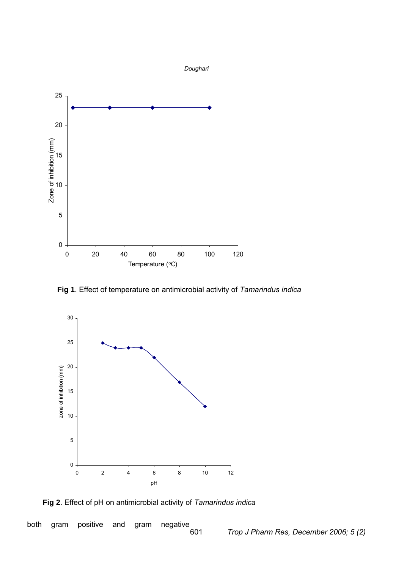

 **Fig 1**. Effect of temperature on antimicrobial activity of *Tamarindus indica* 



**Fig 2**. Effect of pH on antimicrobial activity of *Tamarindus indica* 

both gram positive and gram negative

601 *Trop J Pharm Res, December 2006; 5 (2)*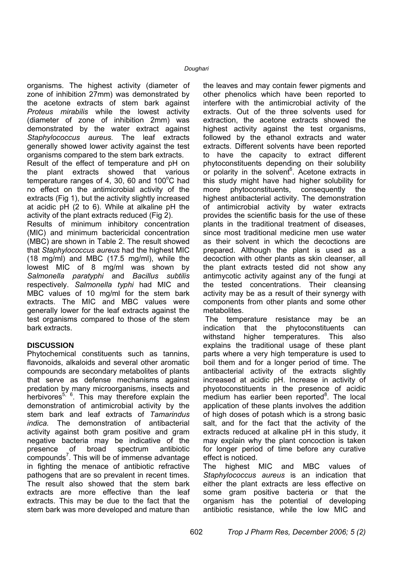organisms. The highest activity (diameter of zone of inhibition 27mm) was demonstrated by the acetone extracts of stem bark against *Proteus mirabilis* while the lowest activity (diameter of zone of inhibition 2mm) was demonstrated by the water extract against *Staphylococcus aureus.* The leaf extracts generally showed lower activity against the test organisms compared to the stem bark extracts.

Result of the effect of temperature and pH on the plant extracts showed that various  $temperature$  ranges of 4, 30, 60 and 100 $\degree$ C had no effect on the antimicrobial activity of the extracts (Fig 1), but the activity slightly increased at acidic pH (2 to 6). While at alkaline pH the activity of the plant extracts reduced (Fig 2).

Results of minimum inhibitory concentration (MIC) and minimum bactericidal concentration (MBC) are shown in Table 2. The result showed that *Staphylococcus aureus* had the highest MIC (18 mg/ml) and MBC (17.5 mg/ml), while the lowest MIC of 8 mg/ml was shown by *Salmonella paratyphi* and *Bacillus subtilis*  respectively. *Salmonella typhi* had MIC and MBC values of 10 mg/ml for the stem bark extracts. The MIC and MBC values were generally lower for the leaf extracts against the test organisms compared to those of the stem bark extracts.

# **DISCUSSION**

Phytochemical constituents such as tannins, flavonoids, alkaloids and several other aromatic compounds are secondary metabolites of plants that serve as defense mechanisms against predation by many microorganisms, insects and herbivores<sup>5,  $6$ </sup>. This may therefore explain the demonstration of antimicrobial activity by the stem bark and leaf extracts of *Tamarindus indica.* The demonstration of antibacterial activity against both gram positive and gram negative bacteria may be indicative of the presence of broad spectrum antibiotic .<br>compounds<sup>7</sup>. This will be of immense advantage in fighting the menace of antibiotic refractive pathogens that are so prevalent in recent times. The result also showed that the stem bark extracts are more effective than the leaf extracts. This may be due to the fact that the stem bark was more developed and mature than

the leaves and may contain fewer pigments and other phenolics which have been reported to interfere with the antimicrobial activity of the extracts. Out of the three solvents used for extraction, the acetone extracts showed the highest activity against the test organisms, followed by the ethanol extracts and water extracts. Different solvents have been reported to have the capacity to extract different phytoconstituents depending on their solubility or polarity in the solvent<sup>6</sup>. Acetone extracts in this study might have had higher solubility for more phytoconstituents, consequently the highest antibacterial activity. The demonstration of antimicrobial activity by water extracts provides the scientific basis for the use of these plants in the traditional treatment of diseases, since most traditional medicine men use water as their solvent in which the decoctions are prepared. Although the plant is used as a decoction with other plants as skin cleanser, all the plant extracts tested did not show any antimycotic activity against any of the fungi at the tested concentrations. Their cleansing activity may be as a result of their synergy with components from other plants and some other metabolites.

 The temperature resistance may be an indication that the phytoconstituents can withstand higher temperatures. This also explains the traditional usage of these plant parts where a very high temperature is used to boil them and for a longer period of time. The antibacterial activity of the extracts slightly increased at acidic pH. Increase in activity of phyotoconstituents in the presence of acidic medium has earlier been reported<sup>8</sup>. The local application of these plants involves the addition of high doses of potash which is a strong basic salt, and for the fact that the activity of the extracts reduced at alkaline pH in this study, it may explain why the plant concoction is taken for longer period of time before any curative effect is noticed.

The highest MIC and MBC values of *Staphylococcus aureus* is an indication that either the plant extracts are less effective on some gram positive bacteria or that the organism has the potential of developing antibiotic resistance, while the low MIC and